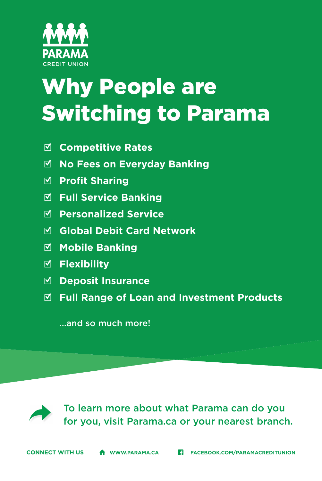## Why People are Switching to Parama

- □ **Competitive Rates**
- □ **No Fees on Everyday Banking**
- **M** Profit Sharing
- □ **Full Service Banking**
- □ **Personalized Service**
- □ **Global Debit Card Network**
- □ **Mobile Banking**
- □ **Flexibility**
- □ **Deposit Insurance**
- □ **Full Range of Loan and Investment Products**

...and so much more!

## To learn more about what Parama can do you<br>
for you, visit Parama.ca or your nearest branch.

**CONNECT WITH US A** www.parama.ca **Fi** FACEBOOK.COM/PARAMACREDITUNION

PARAMA CREDIT UNION